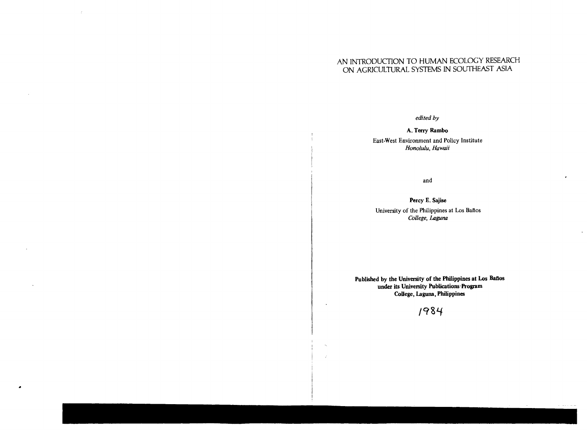### AN INTRODUCTION TO HUMAN ECOLOGY RESEARCH ON AGRICULTURAL SYSTEMS IN SOUTHEAST ASIA

 $\pm$ 

*edited by* 

A. Terry Rambo

East-West Environment and Policy Institute *Honolulu, Hawaii* 

and

 $\mathbf{r}$ 

 $\kappa = \kappa(\kappa) + \beta m/m$ 

Percy E. Sajise University of the Philippines at Los Bafios *College, Laguna* 

Published by the University of the Philippines at Los Baños under its University Publications'Program College, Laguna, Philippines

1984

 $\ddot{\phantom{a}}$ 

 $\hat{\alpha}_k$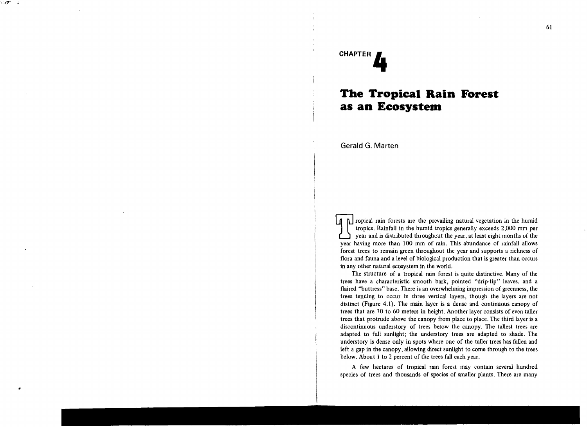# **CHAPTER It**

र उन्हे

## **The Tropical Rain Forest as an Ecosystem**

Gerald G. Marten

The prevailing natural vegetation in the humid<br>tropics. Rainfall in the humid tropics generally exceeds 2,000 mm per<br>year and is distributed throughout the year, at least eight months of the year and is distributed throughout the year, at least eight months of the year having more than 100 mm of rain. This abundance of rainfall allows forest trees to remain green throughout the year and supports a richness of flora and fauna and a level of biological production that is greater than occurs in any other natural ecosystem in the world.

The structure of a tropical rain forest is quite distinctive. Many of the trees have a characteristic smooth bark, pointed "drip-tip" leaves, and a flaired "buttress" base. There is an overwhelming impression of greenness, the trees tending to occur in three vertical layers, though the layers are not distinct (Figure 4.1). The main layer is a dense and continuous canopy of trees that are 30 to 60 meters in height. Another layer consists of even taller trees that protrude above the canopy from place to place. The third layer is a discontinuous understory of trees below the canopy. The tallest trees are adapted to full sunlight; the understory trees are adapted to shade. The understory is dense only in spots where one of the taller trees has fallen and left a gap in the canopy, allowing direct sunlight to come through to the trees below. About 1 to 2 percent of the trees fall each year.

A few hectares of tropical rain forest may contain several hundred species of trees and thousands of species of smaller plants. There are many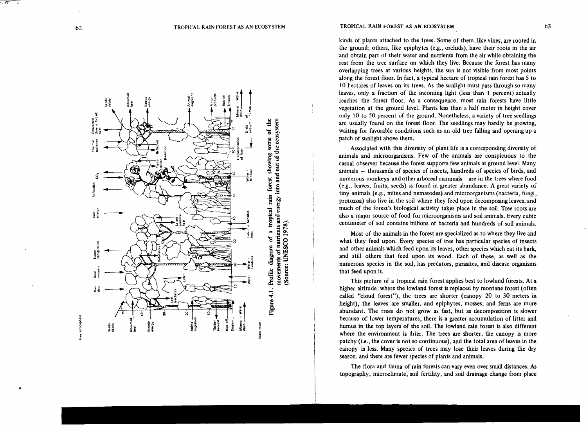

kinds of plants attached to the trees. Some of them, like vines, are rooted in the ground; others, like epiphytes (e.g., orchids), have their roots in the air and obtain part of their water and nutrients from the air while obtaining the rest from the tree surface on which they live. Because the forest has many overlapping trees at various heights, the sun is not visible from most points along the forest floor. In fact, a typical hectare of tropical rain forest has 5 to 10 hectares of leaves on its trees. As the sunlight must pass through so many leaves, only a fraction of the incoming light (less than 1 percent) actually reaches the forest floor. As a consequence, most rain forests have little vegetation at the ground level. Plants less than a half meter in height cover only 10 to 50 percent of the ground. Nonetheless, a variety of tree seedlings are usually found on the forest floor. The seedlings may hardly be growing, waiting for favorable conditions such as an old tree falling and opening up a patch of sunlight above them.

Associated with this diversity of plant life is a corresponding diversity of animals and microorganisms. Few of the animals are conspicuous to the casual observer because the forest supports few animals at ground level. Many animals - thousands of species of insects, hundreds of species of birds, and numerous monkeys and other arboreal mammals – are in the trees where food (e.g., leaves, fruits, seeds) is found in greater abundance. A great variety of tiny animals (e.g., mites and nematodes) and microorganisms (bacteria, fungi, protozoa) also live in the soil where they feed upon decomposing leaves, and much of the forest's biological activity takes place in the soil. Tree roots are also a maior source of food for microorganisms and soil animals. Every cubic centimeter of soil contains billions of bacteria and hundreds of soil animals.

Most of the animals in the forest are specialized as to where they live and what they feed upon. Every species of tree has particular species of insects and other animals which feed upon its leaves, other species which eat its bark, and still others that feed upon its wood. Each of these, as well as the numerous species in the soil, has predators, parasites, and disease organisms that feed upon it.

This picture of a tropical rain forest applies best to lowland forests. At a higher altitude, where the lowland forest is replaced by montane forest (often called "cloud forest"), the trees are shorter (canopy 20 to 30 meters in height), the leaves are smaller, and epiphytes, mosses, and ferns are more abundant. The trees do not grow as fast, but as decomposition is slower because of lower temperatures, there is a greater accumulation of litter and humus in the top layers of the soil. The lowland rain forest is also different where the environment is drier. The trees are shorter, the canopy is more patchy (i.e., the cover is not so continuous), and the total area of leaves in the canopy is less. Many species of trees may lose their leaves during the dry season, and there are fewer species of plants and animals.

The flora and fauna of rain forests can vary even over small distances. As topography, microclimate, soil fertility, and soil drainage change from place

#### TROPICAL RAIN FOREST AS AN ECOSYSTEM TROPICAL RAIN FOREST AS AN ECOSYSTEM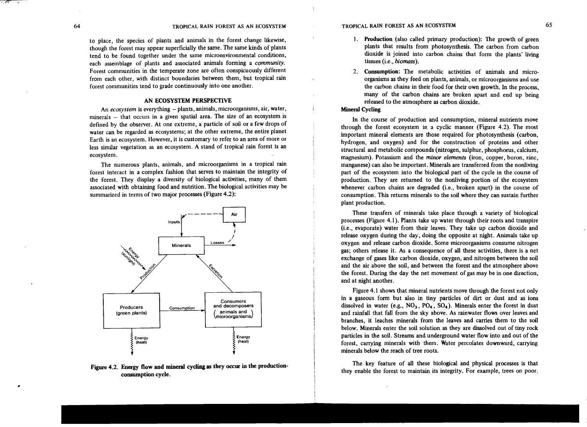•

to place, the species of plants and animals in the forest change likewise, though the forest may appear superficially the same. The same kinds of plants tend to be found together under the same microenvironmental conditions, each assemblage of plants and associated animals forming a *community.*  Forest communities in the temperate zone are often conspicuously different from each other, with distinct boundaries between them, but tropical rain forest communities tend to grade continuously into one another.

#### AN ECOSYSTEM PERSPECTIVE

An *ecosystem* is everything – plants, animals, microorganisms, air, water, minerals – that occurs in a given spatial area. The size of an ecosystem is defined by the observer. At one extreme, a particle of soil or a few drops of water can be regarded as ecosystems; at the other extreme, the entire planet Earth is an ecosystem. However, it is customary to refer to an area of more or less similar vegetation as an ecosystem. A stand of tropical rain forest is an ecosystem.

The numerous plants, animals, and microorganisms in a tropical rain forest interact in a complex fashion that serves to maintain the integrity of the forest. They display a diversity of biological activities, many of them associated with obtaining food and nutrition. The biological activities may be summarized in terms of two major processes (Figure 4.2):



#### Figure 4.2. Energy flow and mineral cycling as they occur in the productionconsumption cycle .

- 1. Production (also called primary production): The growth of green plants that results from photosynthesis. The carbon from carbon dioxide is joined into carbon chains that form the plants' living tissues (Le., *biomass).*
- 2. Consumption: The metabolic activities of animals and microorganisms as they feed on plants, animals, or microorganisms and use the carbon chains in their food for their own growth. In the process, many of the carbon chains are broken apart and end up being released to the atmosphere as carbon dioxide.

#### Mineral Cycling

In the course of production and consumption, mineral nutrients move through the forest ecosystem in a cyclic manner (Figure 4.2). The most important mineral elements are those required for photosynthesis (carbon, hydrogen, and oxygen) and for the construction of proteins and other structural and metabolic compounds (nitrogen, sulphur, phosphorus, calcium, magnesium). Potassium and the *minor elements* (iron, copper, boron, zinc, manganese) can also be important. Minerals are transferred from the nonliving part of the ecosystem into the biological part of the cycle in the course of production. They are returned to the nonliving portion of the ecosystem whenever carbon chains are degraded (i.e., broken apart) in the course of consumption. This returns minerals to the soil where they can sustain further plant production.

These transfers of minerals take place through a variety of biological processes (Figure 4.1). Plants take up water through their roots and transpire (Le., evaporate) water from their leaves. They take up carbon dioxide and release oxygen during the day, doing the opposite at night. Animals take up oxygen and release carbon dioxide. Some microorganisms consume nitrogen gas; others release it. As a consequence of all these activities, there is a net exchange of gases like carbon dioxide, oxygen, and nitrogen between the soil and the air above the soil, and between the forest and the atmosphere above the forest. During the day the net movement of gas may be in one direction, and at night another.

Figure 4.1 shows that mineral nutrients move through the forest not only in a gaseous form but also in tiny particles of dirt or dust and as ions dissolved in water (e.g., NO<sub>3</sub>, PO<sub>4</sub>, SO<sub>4</sub>). Minerals enter the forest in dust and rainfall that fall from the sky above. As rainwater flows over leaves and branches, it leaches minerals from the leaves and carries them to the soil below. Minerals enter the soil solution as they are dissolved out of tiny rock particles in the soil. Streams and underground water flow into and out of the forest, carrying minerals with them. Water percolates downward, carrying minerals below the reach of tree roots.

The key feature of all these biological and physical processes is that they enable the forest to maintain its integrity. For example, trees on poor,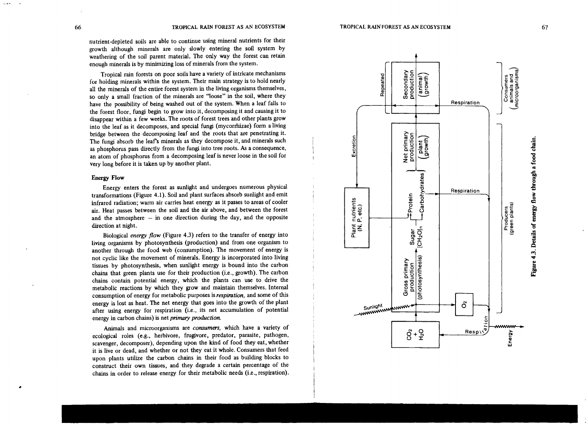vulners.

nutrient·depleted soils are able to continue using mineral nutrients for their growth although minerals are only slowly entering the soil system by weathering of the soil parent material. The only way the forest can retain enough minerals is by minimizing loss of minerals from the system.

Tropical rain forests on poor soils have a variety of intricate mechanisms for holding minerals within the system. Their main strategy is to hold nearly all the minerals of the entire forest system in the living organisms themselves, so only a small fraction of the minerals are "loose" in the soil, where they have the possibility of being washed out of the system. When a leaf falls to the forest floor, fungi begin to grow into it. decomposing it and causing it to disappear within a few weeks. The roots of forest trees and other plants grow into the leaf as it decomposes, and special fungi (mycorrhizae) form a living bridge between the decomposing leaf and the roots that are penetrating it. The fungi absorb the leaf's minerals as they decompose it, and minerals such as phosphorus pass directly from the fungi into tree roots. As a consequence, an atom of phosphorus from a decomposing leaf is never loose in the soil for very long before it is taken up by another plant.

#### Energy Flow

Energy enters the forest as SUnlight and undergoes numerous physical transformations (Figure 4.1). Soil and plant surfaces absorb sunlight and emit infrared radiation; warm air carries heat energy as it passes to areas of cooler air. Heat passes between the soil and the air above, and between the forest and the atmosphere  $-$  in one direction during the day, and the opposite direction at night.

Biological *energy /low* (Figure 4.3) refers to the transfer of energy into living organisms by photosynthesis (production) and from one organism to another through the food web (consumption). The movement of energy is not cyclic like the movement of minerals. Energy is incorporated into living tissues by photosynthesis, when sunlight energy is bound into the carbon chains that green plants use for their production (i.e., growth). The carbon chains contain potential energy, which the plants can use to drive the metabolic reactions by which they grow and maintain themselves. Internal consumption of energy for metabolic purposes is *respiration,* and some of this energy is lost as heat. The net energy that goes into the growth of the plant after using energy for respiration (i.e., its net accumulation of potential energy in carbon chains) is net *primary production*.

Animals and microorganisms are *consumers,* which have a variety of ecological roles (e.g., herbivore, frugivore, predator, parasite, pathogen, scavenger, decomposer), depending upon the kind of food they eat, whether it is live or dead, and whether or not they eat it whole. Consumers that feed upon plants utilize the carbon chains in their food as building blocks to construct their own tissues, and they degrade a certain percentage of the chains in order to release energy for their metabolic needs (i.e., respiration).



TROPICAL RAINFOREST AS AN ECOSYSTEM

Figure 4.3. Details of energy flow through a food chain.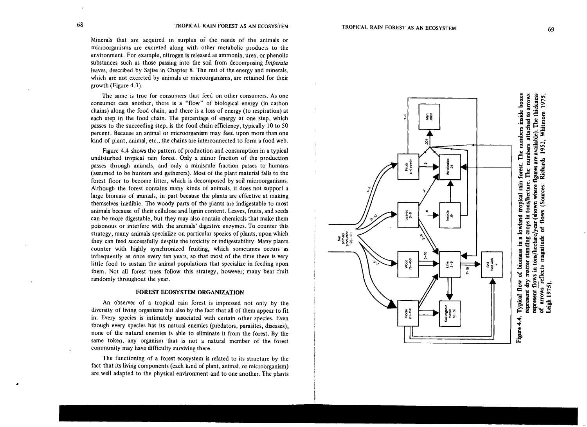•

Minerals that are acquired in surplus of the needs of the animals or microorganisms are excreted along with other metabolic products to the environment. For example, nitrogen is released as ammonia, urea, or phenolic substances such as those passing into the soil from decomposing *Imperata*  leaves, described by Sajise in Chapter 8. The rest of the energy and minerals, which are not excreted by animals or microorganisms, are retained for their growth (Figure 4.3).

The same is true for consumers that feed on other consumers. As one consumer eats another, there is a "flow" of biological energy (in carbon chains) along the food chain, and there is a loss of energy (to respiration) at each step in the food chain. The percentage of energy at one step, which passes to the succeeding step, is the food chain efficiency, typically 10 to 50 percent. Because an animal or microorganism may feed upon more than one kind of plant, animal, etc., the chains are interconnected to form a food web.

Figure 4.4 shows the pattern of production and consumption in a typical undisturbed tropical rain forest. Only a minor fraction of the production passes through animals, and only a miniscule fraction passes to humans (assumed to be hunters and gatherers). Most of the plant material falls to the forest floor to become litter, which is decomposed by soil microorganisms. Although the forest contains many kinds of animals, it does not support a large biomass of animals, in part because the plants are effective at making themselves inedible. The woody parts of the plants are indigestable to most animals because of their cellulose and lignin content. Leaves, fruits, and seeds can be more digestable, but they may also contain chemicals that make them poisonous or interfere with the animals' digestive enzymes. To counter this strategy, many animals specialize on particular species of plants, upon which they can feed successfully despite the toxicity or indigestability. Many plants counter with highly synchronized fruiting, which sometimes occurs as infrequently as once every ten years, so that most of the time there is very little food to sustain the animal populations that specialize in feeding upon them. Not all forest trees follow this strategy, however; many bear fruit randomly throughout the year.

#### FOREST **ECOSYSTEM** ORGANIZATION

An observer of a tropical rain forest is impressed not only by the diversity of living organisms but also by the fact that all of them appear to fit in. Every species is intimately associated with certain other species. Even though every species has its natural enemies (predators, parasites, diseases), none of the natural enemies is able to eliminate it from the forest. By the same token, any organism that is not a natural member of the forest community may have difficulty surviving there.

The functioning of a forest ecosystem is related to its structure by the fact that its living components (each k.nd of plant, animal, or microorganism) are well adapted to the physical environment and to one another. The plants

٩ ទ្ធិ Fruits<br>and seeds e<br>S<br>S<br>S Net<br>primary<br>production<br>(25-30)  $5 - 10$ Wood<br>15-450 Soil<br>tood web<br>2 a<br>∃¦ Roots<br>20-120 Figure 4.4.

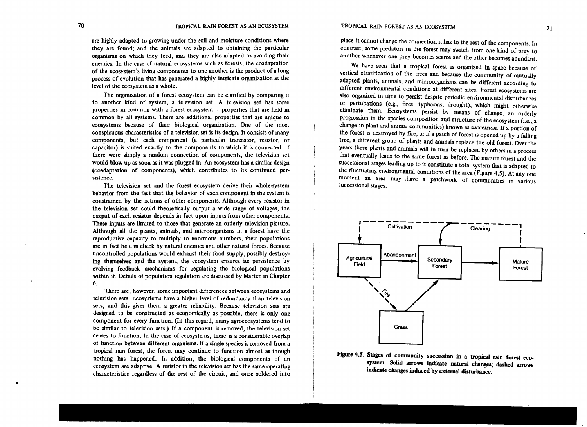are highly adapted to growing under the soil and moisture conditions where they are found; and the animals are adapted to obtaining the particular organisms on which they feed, and they are also adapted to avoiding their enemies. In the case of natural ecosystems such as forests, the coadaptation of the ecosystem's living components to one another is the product of a long process of evolution that has generated a highly intricate organization at the level of the ecosystem as a whole.

The organization of a forest ecosystem can be clarified by comparing it to another kind of system, a television set. A television set has some properties in common with a forest ecosystem – properties that are held in common by all systems. There are additional properties that are unique to ecosystems because of their biological organization. One of the most conspicuous characteristics of a television set is its design. It consists of many components, but each component (a particular transistor, resistor, or capacitor) is suited exactly to the components to which it is connected. If there were simply a random connection of components, the television set would blow up as soon as it was plugged in. An ecosystem has a similar design (coadaptation of components), which contributes to its continued per· sistence.

The television set and the forest ecosystem derive their whole-system behavior from the fact that the behavior of each component in the system is constrained by the actions of other components. Although every resistor in the television set could theoretically output a wide range of voltages, the output of each resistor depends in fact upon inputs from other components. These inputs are limited to those that generate an orderly television picture. Although all the plants, animals, and microorganisms in a forest have the reproductive capacity to multiply to enormous numbers, their populations are in fact held in check by natural enemies and other natural forces. Because uncontrolled populations would exhaust their food supply, possibly destroying themselves and the system, the ecosystem ensures its persistence by evolving feedback mechanisms for regulating the biological populations within it. Details of population regulation are discussed by Marten in Chapter 6.

There are, however, some important differences between ecosystems and television sets. Ecosystems have a higher level of redundancy than television sets, and this gives them a greater reliability. Because television sets are designed to be constructed as economically as possible, there is only one component for every function. (In this regard, many agroecosystems tend to be similar to television sets.) If a component is removed, the television set ceases to function. In the case of ecosystems, there is a considerable overlap of function between different organisms. If a single species is removed from a tropical rain forest, the forest may continue to function almost as though nothing has happened. In addition, the biological components of an ecosystem are adaptive. A resistor in the television set has the same operating characteristics regardless of the rest of the circuit, and once soldered into

place it cannot change the connection it has to the rest of the components. In contrast, some predators in the forest may switch from one kind of prey to another whenever one prey becomes scarce and the other becomes abundant.

We have seen that a tropical forest is organized in space because of vertical stratification of the trees and because the community of mutually adapted plants, animals, and microorganisms can be different according to different environmental conditions at different sites. Forest ecosystems are also organized in time to persist despite periodic environmental disturbances or pertubations (e.g., fires, typhoons, drought), which might otherwise eliminate them. Ecosystems persist by means of change, an orderly progression in the species composition and structure of the ecosystem (i.e., a change in plant and animal communities) known as *succession.* If a portion of the forest is destroyed by fire, or if a patch of forest is opened up by a faIling tree, a different group of plants and animals replace the old forest. Over the years these plants and animals will in turn be replaced by others in a process that eventually leads to the same forest as before. The mature forest and the successional stages leading up-to it constitute a total system that is adapted to the fluctuating environmental conditions of the area (Figure 4.5). At anyone moment an area may .have a patchwork of communities in various successional stages.





•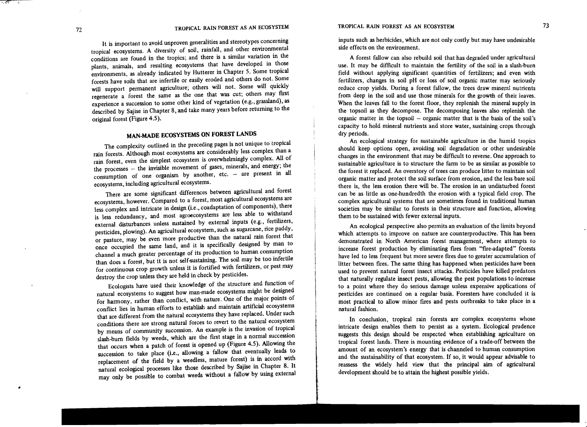It is important to avoid unproven generalities and stereotypes concerning tropical ecosystems. A diversity of soil, rainfall, and other environmental conditions are found in the tropics; and there is a similar variation in the plants, animals, and resulting ecosystems that have developed in those environments, as already indicated by Hutterer in Chapter 5. Some tropical forests have soils that are infertile or easily eroded and others do not. Some will support permanent agriculture; others will not. Some will quickly regenerate a forest the same as the one that was cut; others may first experience a succession to some other kind of vegetation (e.g., grassland), as described by Sajise in Chapter 8, and take many years before returning to the original forest (Figure 4.5).

### **MAN-MADE ECOSYSTEMS ON FOREST LANDS**

The complexity outlined in the preceding pages is not unique to tropical rain forests. Although most ecosystems are considerably less complex than a rain forest, even the simplest ecosystem is overwhelmingly complex. All of the processes – the invisible movement of gases, minerals, and energy; the consumption of one organism by another, etc.  $-$  are present in all ecosystems, including agricultural ecosystems.

There are some significant differences between agricultural and forest ecosystems, however. Compared to a forest, most agricultural ecosystems are less complex and intricate in design (i.e., coadaptation of components), there is less redundancy, and most agroecosystems are less able to withstand external disturbances unless sustained by external inputs (e.g., fertilizers, pesticides, plowing). An agricultural ecosystem, such as sugarcane, rice paddy, or pasture, may be even more productive than the natural rain forest that once occupied the same land, and it is specifically designed by man to channel a much greater percentage of its production to human consumption than does a forest, but it is not self-sustaining. The soil may be too infertile for continuous crop growth unless it is fortified with fertilizers, or pest may destroy the crop unless they are held in check by pesticides.

Ecologists have used their knowledge of the structure and function of natural ecosystems to suggest how man-made ecosystems might be designed for harmony, rather than conflict, with nature. One of the major points of conflict lies in human efforts to establish and maintain artificial ecosystems that are different from the natural ecosystems they have replaced. Under such conditions there are strong natural forces to revert to the natural ecosystem by means of community succession. An example is the invasion of tropical slash-bum fields by weeds, which are the first stage in a normal succession that occurs when a patch of forest is opened up (Figure 4.5). Allowing the succession to take place (i.e., allowing a fallow that eventually leads to replacement of the field by a weedless, mature forest) is in accord with natural ecological processes like those described by Sajise in Chapter 8. It may only be possible to combat weeds without a fallow by using external inputs such as herbicides, which are not only costly but may have undesirable side effects on the environment.

A forest fallow can also rebuild soil that has degraded under agricultural use. It may be difficult to maintain the fertility of the soil in a slash-burn field without applying significant quantities of fertilizers; and even with fertilizers, changes in soil pH or loss of soil organic matter may seriously reduce crop yields. During a forest fallow, the trees draw mineral nutrients from deep in the soil and use those minerals for the growth of their leaves. When the leaves fall to the forest floor, they replenish the mineral supply in the topsoil as they decompose. The decomposing leaves also replenish the organic matter in the topsoil - organic matter that is the basis of the soil's capacity to hold mineral nutrients and store water, sustaining crops through dry periods.

An ecological strategy for sustainable agriculture in the humid tropics should keep options open, avoiding soil degradation or other undesirable changes in the environment that may be difficult to reverse. One approach to sustainable agriculture is to structure the farm to be as similar as possible to the forest it replaced. An overstory of trees can produce litter to maintain soil organic matter and protect the soil surface from erosion and the less bare soil there is, the less erosion there will be. The erosion in an undisturbed forest can be as little as one-hundredth the erosion with a typical field crop. The complex agricultural systems that are sometimes found in traditional human societies may be similar to forests in their structure and function, allowing them to be sustained with fewer external inputs.

An ecological perspective also permits an evaluation of the limits beyond which attempts to improve on nature are counterproductive. This has been demonstrated in North American forest management, where attempts to increase forest production by eliminating fires from "fire-adapted" forests have led to less frequent but more severe fires due to greater accumulation of litter between fires. The same thing has happened when pesticides have been used to prevent natural forest insect attacks. Pesticides have killed predators that naturally regulate insect pests, allowing the pest populations to increase to a point where they do serious damage unless expensive applications of pesticides are continued on a regular basis. Foresters have concluded it is most practical to allow minor fires and pests outbreaks to take place in a natural fashion.

In conclusion, tropical rain forests are complex ecosystems whose intricate design enables them to persist as a system. Ecological prudence suggests this design should be respected when establishing agriculture on tropical forest lands. There is mounting evidence of a trade-off between the amount of an ecosystem's energy that is channeled to human consumption and the sustainability of that ecosystem. If so, it would appear advisable to reassess the widely held view that the principal aim of agricultural development should be to attain the highest possible yields.

•